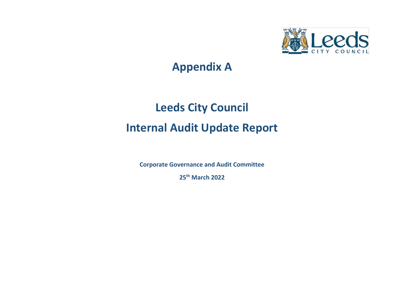

# **Appendix A**

# **Leeds City Council Internal Audit Update Report**

**Corporate Governance and Audit Committee**

**25th March 2022**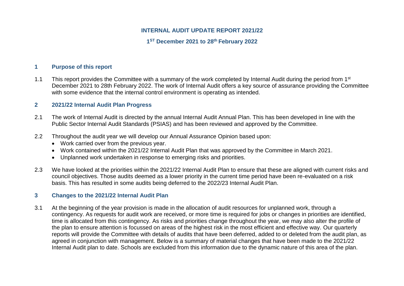# **INTERNAL AUDIT UPDATE REPORT 2021/22**

# **1 ST December 2021 to 28th February 2022**

# **1 Purpose of this report**

1.1 This report provides the Committee with a summary of the work completed by Internal Audit during the period from 1<sup>st</sup> December 2021 to 28th February 2022. The work of Internal Audit offers a key source of assurance providing the Committee with some evidence that the internal control environment is operating as intended.

# **2 2021/22 Internal Audit Plan Progress**

- 2.1 The work of Internal Audit is directed by the annual Internal Audit Annual Plan. This has been developed in line with the Public Sector Internal Audit Standards (PSIAS) and has been reviewed and approved by the Committee.
- 2.2 Throughout the audit year we will develop our Annual Assurance Opinion based upon:
	- Work carried over from the previous year.
	- Work contained within the 2021/22 Internal Audit Plan that was approved by the Committee in March 2021.
	- Unplanned work undertaken in response to emerging risks and priorities.
- 2.3 We have looked at the priorities within the 2021/22 Internal Audit Plan to ensure that these are aligned with current risks and council objectives. Those audits deemed as a lower priority in the current time period have been re-evaluated on a risk basis. This has resulted in some audits being deferred to the 2022/23 Internal Audit Plan.

# **3 Changes to the 2021/22 Internal Audit Plan**

3.1 At the beginning of the year provision is made in the allocation of audit resources for unplanned work, through a contingency. As requests for audit work are received, or more time is required for jobs or changes in priorities are identified, time is allocated from this contingency. As risks and priorities change throughout the year, we may also alter the profile of the plan to ensure attention is focussed on areas of the highest risk in the most efficient and effective way. Our quarterly reports will provide the Committee with details of audits that have been deferred, added to or deleted from the audit plan, as agreed in conjunction with management. Below is a summary of material changes that have been made to the 2021/22 Internal Audit plan to date. Schools are excluded from this information due to the dynamic nature of this area of the plan.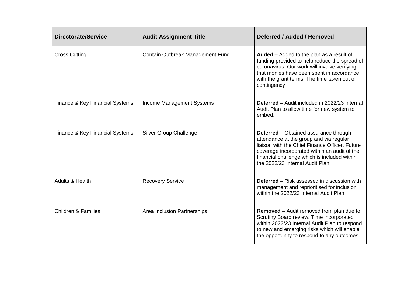| <b>Directorate/Service</b>      | <b>Audit Assignment Title</b>    | Deferred / Added / Removed                                                                                                                                                                                                                                                    |
|---------------------------------|----------------------------------|-------------------------------------------------------------------------------------------------------------------------------------------------------------------------------------------------------------------------------------------------------------------------------|
| <b>Cross Cutting</b>            | Contain Outbreak Management Fund | Added - Added to the plan as a result of<br>funding provided to help reduce the spread of<br>coronavirus. Our work will involve verifying<br>that monies have been spent in accordance<br>with the grant terms. The time taken out of<br>contingency                          |
| Finance & Key Financial Systems | Income Management Systems        | <b>Deferred - Audit included in 2022/23 Internal</b><br>Audit Plan to allow time for new system to<br>embed.                                                                                                                                                                  |
| Finance & Key Financial Systems | <b>Silver Group Challenge</b>    | <b>Deferred - Obtained assurance through</b><br>attendance at the group and via regular<br>liaison with the Chief Finance Officer, Future<br>coverage incorporated within an audit of the<br>financial challenge which is included within<br>the 2022/23 Internal Audit Plan. |
| Adults & Health                 | <b>Recovery Service</b>          | <b>Deferred - Risk assessed in discussion with</b><br>management and reprioritised for inclusion<br>within the 2022/23 Internal Audit Plan.                                                                                                                                   |
| <b>Children &amp; Families</b>  | Area Inclusion Partnerships      | <b>Removed - Audit removed from plan due to</b><br>Scrutiny Board review. Time incorporated<br>within 2022/23 Internal Audit Plan to respond<br>to new and emerging risks which will enable<br>the opportunity to respond to any outcomes.                                    |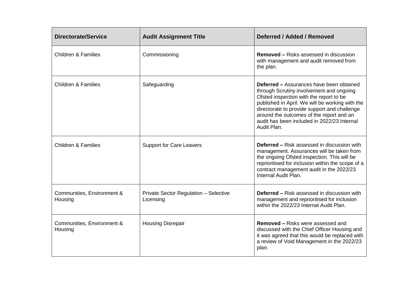| <b>Directorate/Service</b>            | <b>Audit Assignment Title</b>                      | Deferred / Added / Removed                                                                                                                                                                                                                                                                                                                          |
|---------------------------------------|----------------------------------------------------|-----------------------------------------------------------------------------------------------------------------------------------------------------------------------------------------------------------------------------------------------------------------------------------------------------------------------------------------------------|
| <b>Children &amp; Families</b>        | Commissioning                                      | <b>Removed – Risks assessed in discussion</b><br>with management and audit removed from<br>the plan.                                                                                                                                                                                                                                                |
| <b>Children &amp; Families</b>        | Safeguarding                                       | <b>Deferred - Assurances have been obtained</b><br>through Scrutiny involvement and ongoing<br>Ofsted inspection with the report to be<br>published in April. We will be working with the<br>directorate to provide support and challenge<br>around the outcomes of the report and an<br>audit has been included in 2022/23 Internal<br>Audit Plan. |
| <b>Children &amp; Families</b>        | <b>Support for Care Leavers</b>                    | <b>Deferred – Risk assessed in discussion with</b><br>management. Assurances will be taken from<br>the ongoing Ofsted inspection. This will be<br>reprioritised for inclusion within the scope of a<br>contract management audit in the 2022/23<br>Internal Audit Plan.                                                                             |
| Communities, Environment &<br>Housing | Private Sector Regulation - Selective<br>Licensing | <b>Deferred - Risk assessed in discussion with</b><br>management and reprioritised for inclusion<br>within the 2022/23 Internal Audit Plan.                                                                                                                                                                                                         |
| Communities, Environment &<br>Housing | <b>Housing Disrepair</b>                           | <b>Removed – Risks were assessed and</b><br>discussed with the Chief Officer Housing and<br>it was agreed that this would be replaced with<br>a review of Void Management in the 2022/23<br>plan.                                                                                                                                                   |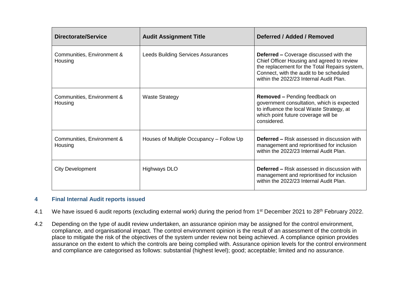| <b>Directorate/Service</b>            | <b>Audit Assignment Title</b>             | Deferred / Added / Removed                                                                                                                                                                                                         |
|---------------------------------------|-------------------------------------------|------------------------------------------------------------------------------------------------------------------------------------------------------------------------------------------------------------------------------------|
| Communities, Environment &<br>Housing | <b>Leeds Building Services Assurances</b> | <b>Deferred - Coverage discussed with the</b><br>Chief Officer Housing and agreed to review<br>the replacement for the Total Repairs system,<br>Connect, with the audit to be scheduled<br>within the 2022/23 Internal Audit Plan. |
| Communities, Environment &<br>Housing | <b>Waste Strategy</b>                     | <b>Removed – Pending feedback on</b><br>government consultation, which is expected<br>to influence the local Waste Strategy, at<br>which point future coverage will be<br>considered.                                              |
| Communities, Environment &<br>Housing | Houses of Multiple Occupancy – Follow Up  | <b>Deferred – Risk assessed in discussion with</b><br>management and reprioritised for inclusion<br>within the 2022/23 Internal Audit Plan.                                                                                        |
| <b>City Development</b>               | Highways DLO                              | <b>Deferred – Risk assessed in discussion with</b><br>management and reprioritised for inclusion<br>within the 2022/23 Internal Audit Plan.                                                                                        |

# **4 Final Internal Audit reports issued**

- 4.1 We have issued 6 audit reports (excluding external work) during the period from 1<sup>st</sup> December 2021 to 28<sup>th</sup> February 2022.
- 4.2 Depending on the type of audit review undertaken, an assurance opinion may be assigned for the control environment, compliance, and organisational impact. The control environment opinion is the result of an assessment of the controls in place to mitigate the risk of the objectives of the system under review not being achieved. A compliance opinion provides assurance on the extent to which the controls are being complied with. Assurance opinion levels for the control environment and compliance are categorised as follows: substantial (highest level); good; acceptable; limited and no assurance.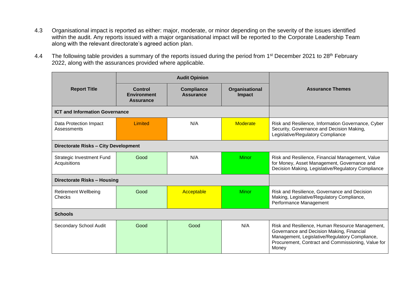- 4.3 Organisational impact is reported as either: major, moderate, or minor depending on the severity of the issues identified within the audit. Any reports issued with a major organisational impact will be reported to the Corporate Leadership Team along with the relevant directorate's agreed action plan.
- 4.4 The following table provides a summary of the reports issued during the period from 1<sup>st</sup> December 2021 to 28<sup>th</sup> February 2022, along with the assurances provided where applicable.

|                                              | <b>Audit Opinion</b>                              |                                       |                                 |                                                                                                                                                                                                               |  |
|----------------------------------------------|---------------------------------------------------|---------------------------------------|---------------------------------|---------------------------------------------------------------------------------------------------------------------------------------------------------------------------------------------------------------|--|
| <b>Report Title</b>                          | Control<br><b>Environment</b><br><b>Assurance</b> | <b>Compliance</b><br><b>Assurance</b> | Organisational<br><b>Impact</b> | <b>Assurance Themes</b>                                                                                                                                                                                       |  |
| <b>ICT and Information Governance</b>        |                                                   |                                       |                                 |                                                                                                                                                                                                               |  |
| Data Protection Impact<br>Assessments        | Limited                                           | N/A                                   | <b>Moderate</b>                 | Risk and Resilience, Information Governance, Cyber<br>Security, Governance and Decision Making,<br>Legislative/Regulatory Compliance                                                                          |  |
| Directorate Risks - City Development         |                                                   |                                       |                                 |                                                                                                                                                                                                               |  |
| Strategic Investment Fund<br>Acquisitions    | Good                                              | N/A                                   | <b>Minor</b>                    | Risk and Resilience, Financial Management, Value<br>for Money, Asset Management, Governance and<br>Decision Making, Legislative/Regulatory Compliance                                                         |  |
| Directorate Risks - Housing                  |                                                   |                                       |                                 |                                                                                                                                                                                                               |  |
| <b>Retirement Wellbeing</b><br><b>Checks</b> | Good                                              | Acceptable                            | <b>Minor</b>                    | Risk and Resilience, Governance and Decision<br>Making, Legislative/Regulatory Compliance,<br>Performance Management                                                                                          |  |
| <b>Schools</b>                               |                                                   |                                       |                                 |                                                                                                                                                                                                               |  |
| Secondary School Audit                       | Good                                              | Good                                  | N/A                             | Risk and Resilience, Human Resource Management,<br>Governance and Decision Making, Financial<br>Management, Legislative/Regulatory Compliance,<br>Procurement, Contract and Commissioning, Value for<br>Money |  |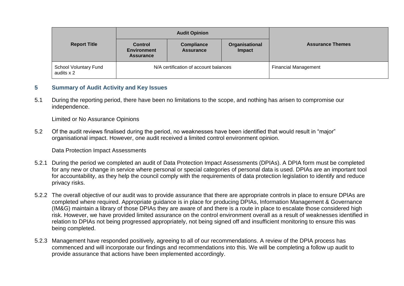|                                            | <b>Audit Opinion</b>                                     |                                       |                             |                         |  |
|--------------------------------------------|----------------------------------------------------------|---------------------------------------|-----------------------------|-------------------------|--|
| <b>Report Title</b>                        | <b>Control</b><br><b>Environment</b><br><b>Assurance</b> | <b>Compliance</b><br><b>Assurance</b> | Organisational<br>Impact    | <b>Assurance Themes</b> |  |
| <b>School Voluntary Fund</b><br>audits x 2 | N/A certification of account balances                    |                                       | <b>Financial Management</b> |                         |  |

# **5 Summary of Audit Activity and Key Issues**

5.1 During the reporting period, there have been no limitations to the scope, and nothing has arisen to compromise our independence.

Limited or No Assurance Opinions

5.2 Of the audit reviews finalised during the period, no weaknesses have been identified that would result in "major" organisational impact. However, one audit received a limited control environment opinion.

Data Protection Impact Assessments

- 5.2.1 During the period we completed an audit of Data Protection Impact Assessments (DPIAs). A DPIA form must be completed for any new or change in service where personal or special categories of personal data is used. DPIAs are an important tool for accountability, as they help the council comply with the requirements of data protection legislation to identify and reduce privacy risks.
- 5.2.2 The overall objective of our audit was to provide assurance that there are appropriate controls in place to ensure DPIAs are completed where required. Appropriate guidance is in place for producing DPIAs, Information Management & Governance (IM&G) maintain a library of those DPIAs they are aware of and there is a route in place to escalate those considered high risk. However, we have provided limited assurance on the control environment overall as a result of weaknesses identified in relation to DPIAs not being progressed appropriately, not being signed off and insufficient monitoring to ensure this was being completed.
- 5.2.3 Management have responded positively, agreeing to all of our recommendations. A review of the DPIA process has commenced and will incorporate our findings and recommendations into this. We will be completing a follow up audit to provide assurance that actions have been implemented accordingly.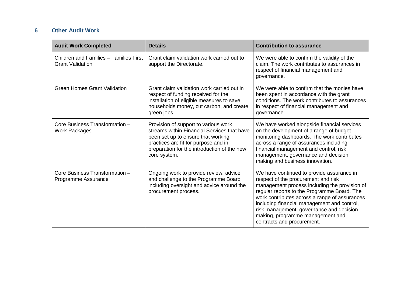# **6 Other Audit Work**

| <b>Audit Work Completed</b>                                       | <b>Details</b>                                                                                                                                                                                                                   | <b>Contribution to assurance</b>                                                                                                                                                                                                                                                                                                                                                               |  |
|-------------------------------------------------------------------|----------------------------------------------------------------------------------------------------------------------------------------------------------------------------------------------------------------------------------|------------------------------------------------------------------------------------------------------------------------------------------------------------------------------------------------------------------------------------------------------------------------------------------------------------------------------------------------------------------------------------------------|--|
| Children and Families - Families First<br><b>Grant Validation</b> | Grant claim validation work carried out to<br>support the Directorate.                                                                                                                                                           | We were able to confirm the validity of the<br>claim. The work contributes to assurances in<br>respect of financial management and<br>governance.                                                                                                                                                                                                                                              |  |
| <b>Green Homes Grant Validation</b>                               | Grant claim validation work carried out in<br>respect of funding received for the<br>installation of eligible measures to save<br>households money, cut carbon, and create<br>green jobs.                                        | We were able to confirm that the monies have<br>been spent in accordance with the grant<br>conditions. The work contributes to assurances<br>in respect of financial management and<br>governance.                                                                                                                                                                                             |  |
| Core Business Transformation -<br><b>Work Packages</b>            | Provision of support to various work<br>streams within Financial Services that have<br>been set up to ensure that working<br>practices are fit for purpose and in<br>preparation for the introduction of the new<br>core system. | We have worked alongside financial services<br>on the development of a range of budget<br>monitoring dashboards. The work contributes<br>across a range of assurances including<br>financial management and control, risk<br>management, governance and decision<br>making and business innovation.                                                                                            |  |
| Core Business Transformation -<br>Programme Assurance             | Ongoing work to provide review, advice<br>and challenge to the Programme Board<br>including oversight and advice around the<br>procurement process.                                                                              | We have continued to provide assurance in<br>respect of the procurement and risk<br>management process including the provision of<br>regular reports to the Programme Board. The<br>work contributes across a range of assurances<br>including financial management and control,<br>risk management, governance and decision<br>making, programme management and<br>contracts and procurement. |  |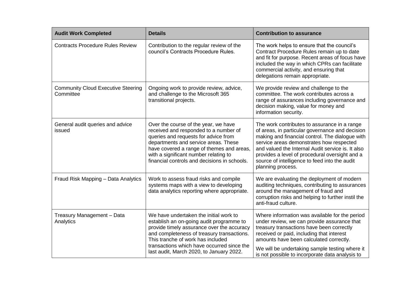| <b>Audit Work Completed</b>                            | <b>Details</b>                                                                                                                                                                                                                                                                                                | <b>Contribution to assurance</b>                                                                                                                                                                                                                                                                                                                                            |  |  |
|--------------------------------------------------------|---------------------------------------------------------------------------------------------------------------------------------------------------------------------------------------------------------------------------------------------------------------------------------------------------------------|-----------------------------------------------------------------------------------------------------------------------------------------------------------------------------------------------------------------------------------------------------------------------------------------------------------------------------------------------------------------------------|--|--|
| <b>Contracts Procedure Rules Review</b>                | Contribution to the regular review of the<br>council's Contracts Procedure Rules.                                                                                                                                                                                                                             | The work helps to ensure that the council's<br>Contract Procedure Rules remain up to date<br>and fit for purpose. Recent areas of focus have<br>included the way in which CPRs can facilitate<br>commercial activity, and ensuring that<br>delegations remain appropriate.                                                                                                  |  |  |
| <b>Community Cloud Executive Steering</b><br>Committee | Ongoing work to provide review, advice,<br>and challenge to the Microsoft 365<br>transitional projects.                                                                                                                                                                                                       | We provide review and challenge to the<br>committee. The work contributes across a<br>range of assurances including governance and<br>decision making, value for money and<br>information security.                                                                                                                                                                         |  |  |
| General audit queries and advice<br>issued             | Over the course of the year, we have<br>received and responded to a number of<br>queries and requests for advice from<br>departments and service areas. These<br>have covered a range of themes and areas,<br>with a significant number relating to<br>financial controls and decisions in schools.           | The work contributes to assurance in a range<br>of areas, in particular governance and decision<br>making and financial control. The dialogue with<br>service areas demonstrates how respected<br>and valued the Internal Audit service is. It also<br>provides a level of procedural oversight and a<br>source of intelligence to feed into the audit<br>planning process. |  |  |
| Fraud Risk Mapping - Data Analytics                    | Work to assess fraud risks and compile<br>systems maps with a view to developing<br>data analytics reporting where appropriate.                                                                                                                                                                               | We are evaluating the deployment of modern<br>auditing techniques, contributing to assurances<br>around the management of fraud and<br>corruption risks and helping to further instil the<br>anti-fraud culture.                                                                                                                                                            |  |  |
| Treasury Management - Data<br>Analytics                | We have undertaken the initial work to<br>establish an on-going audit programme to<br>provide timely assurance over the accuracy<br>and completeness of treasury transactions.<br>This tranche of work has included<br>transactions which have occurred since the<br>last audit, March 2020, to January 2022. | Where information was available for the period<br>under review, we can provide assurance that<br>treasury transactions have been correctly<br>received or paid, including that interest<br>amounts have been calculated correctly.<br>We will be undertaking sample testing where it<br>is not possible to incorporate data analysis to                                     |  |  |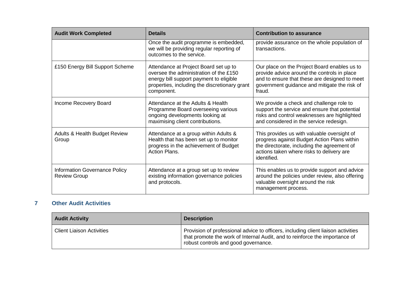| <b>Audit Work Completed</b>                          | <b>Details</b>                                                                                                                                                                            | <b>Contribution to assurance</b>                                                                                                                                                                       |  |  |
|------------------------------------------------------|-------------------------------------------------------------------------------------------------------------------------------------------------------------------------------------------|--------------------------------------------------------------------------------------------------------------------------------------------------------------------------------------------------------|--|--|
|                                                      | Once the audit programme is embedded,<br>we will be providing regular reporting of<br>outcomes to the service.                                                                            | provide assurance on the whole population of<br>transactions.                                                                                                                                          |  |  |
| £150 Energy Bill Support Scheme                      | Attendance at Project Board set up to<br>oversee the administration of the £150<br>energy bill support payment to eligible<br>properties, including the discretionary grant<br>component. | Our place on the Project Board enables us to<br>provide advice around the controls in place<br>and to ensure that these are designed to meet<br>government guidance and mitigate the risk of<br>fraud. |  |  |
| Income Recovery Board                                | Attendance at the Adults & Health<br>Programme Board overseeing various<br>ongoing developments looking at<br>maximising client contributions.                                            | We provide a check and challenge role to<br>support the service and ensure that potential<br>risks and control weaknesses are highlighted<br>and considered in the service redesign.                   |  |  |
| <b>Adults &amp; Health Budget Review</b><br>Group    | Attendance at a group within Adults &<br>Health that has been set up to monitor<br>progress in the achievement of Budget<br><b>Action Plans.</b>                                          | This provides us with valuable oversight of<br>progress against Budget Action Plans within<br>the directorate, including the agreement of<br>actions taken where risks to delivery are<br>identified.  |  |  |
| Information Governance Policy<br><b>Review Group</b> | Attendance at a group set up to review<br>existing information governance policies<br>and protocols.                                                                                      | This enables us to provide support and advice<br>around the policies under review, also offering<br>valuable oversight around the risk<br>management process.                                          |  |  |

# **7 Other Audit Activities**

| <b>Audit Activity</b>            | <b>Description</b>                                                                                                                                                                                       |
|----------------------------------|----------------------------------------------------------------------------------------------------------------------------------------------------------------------------------------------------------|
| <b>Client Liaison Activities</b> | Provision of professional advice to officers, including client liaison activities<br>that promote the work of Internal Audit, and to reinforce the importance of<br>robust controls and good governance. |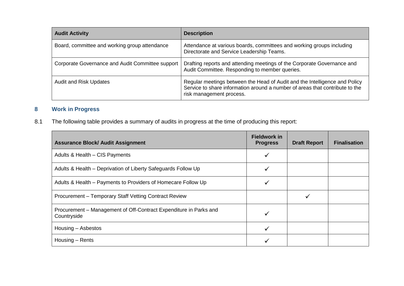| <b>Audit Activity</b>                            | <b>Description</b>                                                                                                                                                                     |
|--------------------------------------------------|----------------------------------------------------------------------------------------------------------------------------------------------------------------------------------------|
| Board, committee and working group attendance    | Attendance at various boards, committees and working groups including<br>Directorate and Service Leadership Teams.                                                                     |
| Corporate Governance and Audit Committee support | Drafting reports and attending meetings of the Corporate Governance and<br>Audit Committee. Responding to member queries.                                                              |
| <b>Audit and Risk Updates</b>                    | Regular meetings between the Head of Audit and the Intelligence and Policy<br>Service to share information around a number of areas that contribute to the<br>risk management process. |

# **8 Work in Progress**

# 8.1 The following table provides a summary of audits in progress at the time of producing this report:

| <b>Assurance Block/ Audit Assignment</b>                                         | <b>Fieldwork in</b><br><b>Progress</b> | <b>Draft Report</b> | <b>Finalisation</b> |
|----------------------------------------------------------------------------------|----------------------------------------|---------------------|---------------------|
| Adults & Health - CIS Payments                                                   |                                        |                     |                     |
| Adults & Health – Deprivation of Liberty Safeguards Follow Up                    |                                        |                     |                     |
| Adults & Health - Payments to Providers of Homecare Follow Up                    |                                        |                     |                     |
| Procurement - Temporary Staff Vetting Contract Review                            |                                        | ✔                   |                     |
| Procurement - Management of Off-Contract Expenditure in Parks and<br>Countryside |                                        |                     |                     |
| Housing – Asbestos                                                               |                                        |                     |                     |
| Housing – Rents                                                                  |                                        |                     |                     |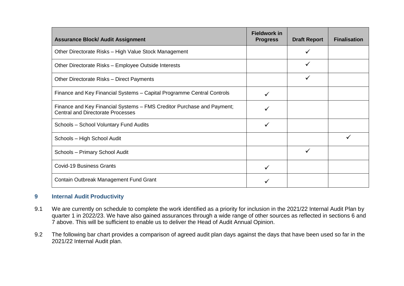| <b>Assurance Block/ Audit Assignment</b>                                                                           | <b>Fieldwork in</b><br><b>Progress</b> | <b>Draft Report</b> | <b>Finalisation</b> |
|--------------------------------------------------------------------------------------------------------------------|----------------------------------------|---------------------|---------------------|
| Other Directorate Risks - High Value Stock Management                                                              |                                        |                     |                     |
| Other Directorate Risks - Employee Outside Interests                                                               |                                        |                     |                     |
| Other Directorate Risks - Direct Payments                                                                          |                                        |                     |                     |
| Finance and Key Financial Systems - Capital Programme Central Controls                                             |                                        |                     |                     |
| Finance and Key Financial Systems – FMS Creditor Purchase and Payment;<br><b>Central and Directorate Processes</b> | ✓                                      |                     |                     |
| Schools - School Voluntary Fund Audits                                                                             |                                        |                     |                     |
| Schools - High School Audit                                                                                        |                                        |                     |                     |
| Schools - Primary School Audit                                                                                     |                                        | ✓                   |                     |
| <b>Covid-19 Business Grants</b>                                                                                    |                                        |                     |                     |
| Contain Outbreak Management Fund Grant                                                                             |                                        |                     |                     |

# **9 Internal Audit Productivity**

- 9.1 We are currently on schedule to complete the work identified as a priority for inclusion in the 2021/22 Internal Audit Plan by quarter 1 in 2022/23. We have also gained assurances through a wide range of other sources as reflected in sections 6 and 7 above. This will be sufficient to enable us to deliver the Head of Audit Annual Opinion.
- 9.2 The following bar chart provides a comparison of agreed audit plan days against the days that have been used so far in the 2021/22 Internal Audit plan.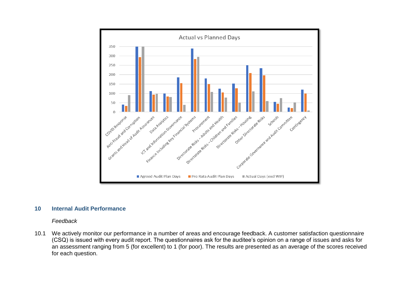

#### **10 Internal Audit Performance**

#### *Feedback*

10.1 We actively monitor our performance in a number of areas and encourage feedback. A customer satisfaction questionnaire (CSQ) is issued with every audit report. The questionnaires ask for the auditee's opinion on a range of issues and asks for an assessment ranging from 5 (for excellent) to 1 (for poor). The results are presented as an average of the scores received for each question.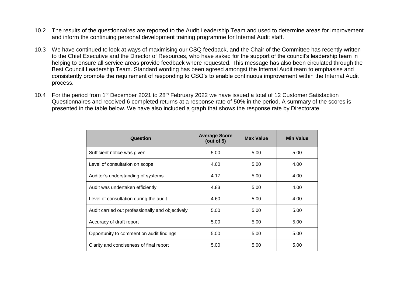- 10.2 The results of the questionnaires are reported to the Audit Leadership Team and used to determine areas for improvement and inform the continuing personal development training programme for Internal Audit staff.
- 10.3 We have continued to look at ways of maximising our CSQ feedback, and the Chair of the Committee has recently written to the Chief Executive and the Director of Resources, who have asked for the support of the council's leadership team in helping to ensure all service areas provide feedback where requested. This message has also been circulated through the Best Council Leadership Team. Standard wording has been agreed amongst the Internal Audit team to emphasise and consistently promote the requirement of responding to CSQ's to enable continuous improvement within the Internal Audit process.
- 10.4 For the period from 1<sup>st</sup> December 2021 to 28<sup>th</sup> February 2022 we have issued a total of 12 Customer Satisfaction Questionnaires and received 6 completed returns at a response rate of 50% in the period. A summary of the scores is presented in the table below. We have also included a graph that shows the response rate by Directorate.

| Question                                         | <b>Average Score</b><br>(out of $5$ ) | <b>Max Value</b> | <b>Min Value</b> |
|--------------------------------------------------|---------------------------------------|------------------|------------------|
| Sufficient notice was given                      | 5.00                                  | 5.00             | 5.00             |
| Level of consultation on scope                   | 4.60                                  | 5.00             | 4.00             |
| Auditor's understanding of systems               | 4.17                                  | 5.00             | 4.00             |
| Audit was undertaken efficiently                 | 4.83                                  | 5.00             | 4.00             |
| Level of consultation during the audit           | 4.60                                  | 5.00             | 4.00             |
| Audit carried out professionally and objectively | 5.00                                  | 5.00             | 5.00             |
| Accuracy of draft report                         | 5.00                                  | 5.00             | 5.00             |
| Opportunity to comment on audit findings         | 5.00                                  | 5.00             | 5.00             |
| Clarity and conciseness of final report          | 5.00                                  | 5.00             | 5.00             |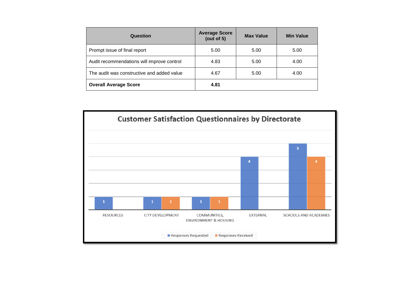| Question                                   | <b>Average Score</b><br>(out of $5$ ) | <b>Max Value</b> | <b>Min Value</b> |
|--------------------------------------------|---------------------------------------|------------------|------------------|
| Prompt issue of final report               | 5.00                                  | 5.00             | 5.00             |
| Audit recommendations will improve control | 4.83                                  | 5.00             | 4.00             |
| The audit was constructive and added value | 4.67                                  | 5.00             | 4.00             |
| <b>Overall Average Score</b>               | 4.81                                  |                  |                  |

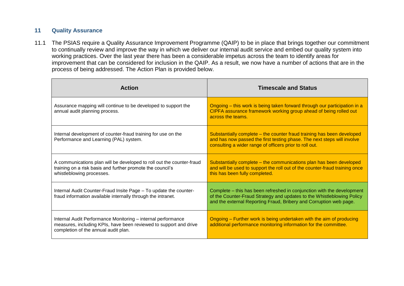# **11 Quality Assurance**

11.1 The PSIAS require a Quality Assurance Improvement Programme (QAIP) to be in place that brings together our commitment to continually review and improve the way in which we deliver our internal audit service and embed our quality system into working practices. Over the last year there has been a considerable impetus across the team to identify areas for improvement that can be considered for inclusion in the QAIP. As a result, we now have a number of actions that are in the process of being addressed. The Action Plan is provided below.

| <b>Action</b>                                                                                                                                                             | <b>Timescale and Status</b>                                                                                                                                                                                            |
|---------------------------------------------------------------------------------------------------------------------------------------------------------------------------|------------------------------------------------------------------------------------------------------------------------------------------------------------------------------------------------------------------------|
| Assurance mapping will continue to be developed to support the<br>annual audit planning process.                                                                          | Ongoing – this work is being taken forward through our participation in a<br>CIPFA assurance framework working group ahead of being rolled out<br>across the teams.                                                    |
| Internal development of counter-fraud training for use on the<br>Performance and Learning (PAL) system.                                                                   | Substantially complete – the counter fraud training has been developed<br>and has now passed the first testing phase. The next steps will involve<br>consulting a wider range of officers prior to roll out.           |
| A communications plan will be developed to roll out the counter-fraud<br>training on a risk basis and further promote the council's<br>whistleblowing processes.          | Substantially complete – the communications plan has been developed<br>and will be used to support the roll out of the counter-fraud training once<br>this has been fully completed.                                   |
| Internal Audit Counter-Fraud Insite Page - To update the counter-<br>fraud information available internally through the intranet.                                         | Complete – this has been refreshed in conjunction with the development<br>of the Counter-Fraud Strategy and updates to the Whistleblowing Policy<br>and the external Reporting Fraud, Bribery and Corruption web page. |
| Internal Audit Performance Monitoring - internal performance<br>measures, including KPIs, have been reviewed to support and drive<br>completion of the annual audit plan. | Ongoing – Further work is being undertaken with the aim of producing<br>additional performance monitoring information for the committee.                                                                               |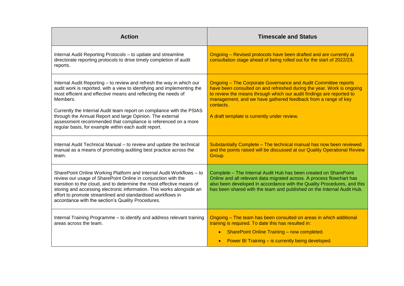| <b>Action</b>                                                                                                                                                                                                                                                                                                                                                                                                                                                                                  | <b>Timescale and Status</b>                                                                                                                                                                                                                                                                                                                         |
|------------------------------------------------------------------------------------------------------------------------------------------------------------------------------------------------------------------------------------------------------------------------------------------------------------------------------------------------------------------------------------------------------------------------------------------------------------------------------------------------|-----------------------------------------------------------------------------------------------------------------------------------------------------------------------------------------------------------------------------------------------------------------------------------------------------------------------------------------------------|
| Internal Audit Reporting Protocols - to update and streamline<br>directorate reporting protocols to drive timely completion of audit<br>reports.                                                                                                                                                                                                                                                                                                                                               | Ongoing - Revised protocols have been drafted and are currently at<br>consultation stage ahead of being rolled out for the start of 2022/23.                                                                                                                                                                                                        |
| Internal Audit Reporting - to review and refresh the way in which our<br>audit work is reported, with a view to identifying and implementing the<br>most efficient and effective means and reflecting the needs of<br>Members.<br>Currently the Internal Audit team report on compliance with the PSIAS<br>through the Annual Report and large Opinion. The external<br>assessment recommended that compliance is referenced on a more<br>regular basis, for example within each audit report. | <b>Ongoing - The Corporate Governance and Audit Committee reports</b><br>have been consulted on and refreshed during the year. Work is ongoing<br>to review the means through which our audit findings are reported to<br>management, and we have gathered feedback from a range of key<br>contacts.<br>A draft template is currently under review. |
| Internal Audit Technical Manual - to review and update the technical<br>manual as a means of promoting auditing best practice across the<br>team.                                                                                                                                                                                                                                                                                                                                              | Substantially Complete - The technical manual has now been reviewed<br>and the points raised will be discussed at our Quality Operational Review<br>Group.                                                                                                                                                                                          |
| SharePoint Online Working Platform and Internal Audit Workflows - to<br>review our usage of SharePoint Online in conjunction with the<br>transition to the cloud, and to determine the most effective means of<br>storing and accessing electronic information. This works alongside an<br>effort to promote streamlined and standardised workflows in<br>accordance with the section's Quality Procedures.                                                                                    | Complete - The Internal Audit Hub has been created on SharePoint<br>Online and all relevant data migrated across. A process flowchart has<br>also been developed in accordance with the Quality Procedures, and this<br>has been shared with the team and published on the Internal Audit Hub.                                                      |
| Internal Training Programme - to identify and address relevant training<br>areas across the team.                                                                                                                                                                                                                                                                                                                                                                                              | Ongoing - The team has been consulted on areas in which additional<br>training is required. To date this has resulted in:<br><b>SharePoint Online Training - now completed.</b><br>$\bullet$<br>Power BI Training - is currently being developed.<br>$\bullet$                                                                                      |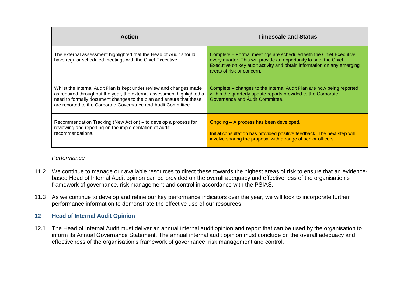| <b>Action</b>                                                                                                                                                                                                                                                                          | <b>Timescale and Status</b>                                                                                                                                                                                                                    |  |
|----------------------------------------------------------------------------------------------------------------------------------------------------------------------------------------------------------------------------------------------------------------------------------------|------------------------------------------------------------------------------------------------------------------------------------------------------------------------------------------------------------------------------------------------|--|
| The external assessment highlighted that the Head of Audit should<br>have regular scheduled meetings with the Chief Executive.                                                                                                                                                         | Complete – Formal meetings are scheduled with the Chief Executive<br>every quarter. This will provide an opportunity to brief the Chief<br>Executive on key audit activity and obtain information on any emerging<br>areas of risk or concern. |  |
| Whilst the Internal Audit Plan is kept under review and changes made<br>as required throughout the year, the external assessment highlighted a<br>need to formally document changes to the plan and ensure that these<br>are reported to the Corporate Governance and Audit Committee. | Complete – changes to the Internal Audit Plan are now being reported<br>within the quarterly update reports provided to the Corporate<br>Governance and Audit Committee.                                                                       |  |
| Recommendation Tracking (New Action) – to develop a process for<br>reviewing and reporting on the implementation of audit<br>recommendations.                                                                                                                                          | Ongoing - A process has been developed.<br>Initial consultation has provided positive feedback. The next step will<br>involve sharing the proposal with a range of senior officers.                                                            |  |

# *Performance*

- 11.2 We continue to manage our available resources to direct these towards the highest areas of risk to ensure that an evidencebased Head of Internal Audit opinion can be provided on the overall adequacy and effectiveness of the organisation's framework of governance, risk management and control in accordance with the PSIAS.
- 11.3 As we continue to develop and refine our key performance indicators over the year, we will look to incorporate further performance information to demonstrate the effective use of our resources.

# **12 Head of Internal Audit Opinion**

12.1 The Head of Internal Audit must deliver an annual internal audit opinion and report that can be used by the organisation to inform its Annual Governance Statement. The annual internal audit opinion must conclude on the overall adequacy and effectiveness of the organisation's framework of governance, risk management and control.